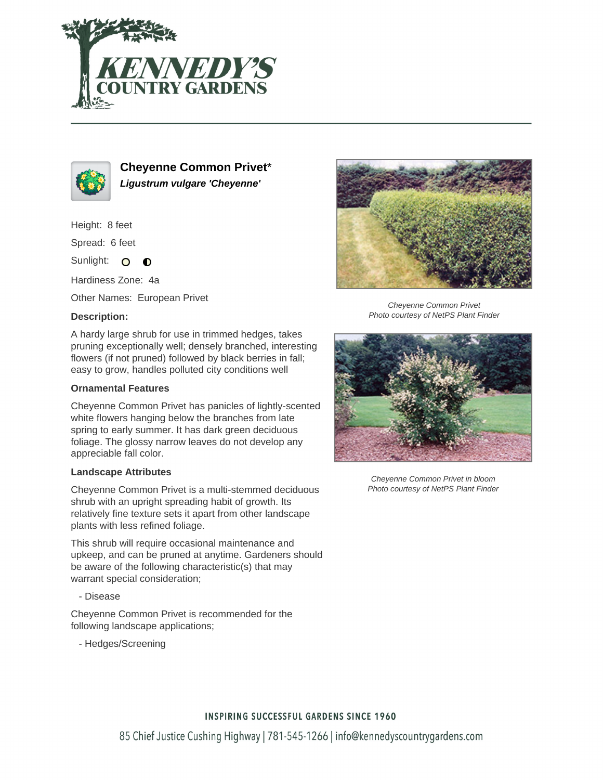



**Cheyenne Common Privet**\* **Ligustrum vulgare 'Cheyenne'**

Height: 8 feet

Spread: 6 feet

Sunlight: O  $\bullet$ 

Hardiness Zone: 4a

Other Names: European Privet

## **Description:**

A hardy large shrub for use in trimmed hedges, takes pruning exceptionally well; densely branched, interesting flowers (if not pruned) followed by black berries in fall; easy to grow, handles polluted city conditions well

#### **Ornamental Features**

Cheyenne Common Privet has panicles of lightly-scented white flowers hanging below the branches from late spring to early summer. It has dark green deciduous foliage. The glossy narrow leaves do not develop any appreciable fall color.

#### **Landscape Attributes**

Cheyenne Common Privet is a multi-stemmed deciduous shrub with an upright spreading habit of growth. Its relatively fine texture sets it apart from other landscape plants with less refined foliage.

This shrub will require occasional maintenance and upkeep, and can be pruned at anytime. Gardeners should be aware of the following characteristic(s) that may warrant special consideration;

- Disease

Cheyenne Common Privet is recommended for the following landscape applications;

- Hedges/Screening



Cheyenne Common Privet Photo courtesy of NetPS Plant Finder



Cheyenne Common Privet in bloom Photo courtesy of NetPS Plant Finder

## **INSPIRING SUCCESSFUL GARDENS SINCE 1960**